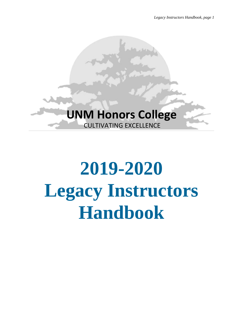

# **2019-2020 Legacy Instructors Handbook**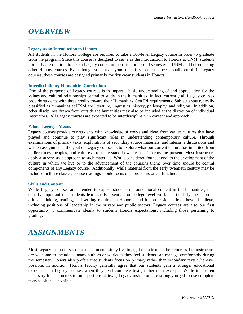# *OVERVIEW*

### **Legacy as an Introduction to Honors**

All students in the Honors College are required to take a 100-level Legacy course in order to graduate from the program. Since this course is designed to serve as the introduction to Honors at UNM, students normally are required to take a Legacy course in their first or second semester at UNM and before taking other Honors courses. Even though students beyond their first semester occasionally enroll in Legacy courses, these courses are designed primarily for first-year students in Honors.

## **Interdisciplinary Humanities Curriculum**

One of the purposes of Legacy courses is to impart a basic understanding of and appreciation for the values and cultural relationships central to study in the humanities; in fact, currently all Legacy courses provide students with three credits toward their Humanities Gen Ed requirements. Subject areas typically classified as humanities at UNM are literature, linguistics, history, philosophy, and religion. In addition, other disciplines drawn from outside the humanities may also be included at the discretion of individual instructors. All Legacy courses are expected to be interdisciplinary in content and approach.

#### **What "Legacy" Means**

Legacy courses provide our students with knowledge of works and ideas from earlier cultures that have played and continue to play significant roles in understanding contemporary culture. Through examinations of primary texts, explorations of secondary source materials, and intensive discussions and written assignments, the goal of Legacy courses is to explore what our current culture has inherited from earlier times, peoples, and cultures—to understand how the past informs the present. Most instructors apply a survey-style approach to such materials. Works considered foundational to the development of the culture in which we live or to the advancement of the course's theme over time should be central components of any Legacy course. Additionally, while material from the early twentieth century may be included in these classes, course readings should focus on a broad historical timeline.

## **Skills and Content**

While Legacy courses are intended to expose students to foundational content in the humanities, it is equally important that students learn skills essential for college-level work—particularly the rigorous critical thinking, reading, and writing required in Honors—and for professional fields beyond college, including positions of leadership in the private and public sectors. Legacy courses are also our first opportunity to communicate clearly to students Honors expectations, including those pertaining to grading.

# *ASSIGNMENTS*

Most Legacy instructors require that students study five to eight main texts in their courses, but instructors are welcome to include as many authors or works as they feel students can manage comfortably during the semester. Honors also prefers that students focus on primary rather than secondary texts whenever possible. In addition, Honors faculty generally agree that our students gain a stronger educational experience in Legacy courses when they read complete texts, rather than excerpts. While it is often necessary for instructors to omit portions of texts, Legacy instructors are strongly urged to use complete texts as often as possible.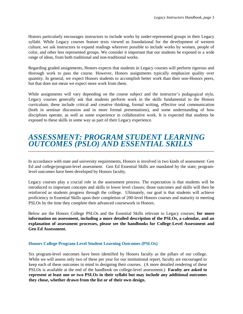Honors particularly encourages instructors to include works by under-represented groups in their Legacy syllabi. While Legacy courses feature texts viewed as foundational for the development of western culture, we ask instructors to expand readings wherever possible to include works by women, people of color, and other less represented groups. We consider it important that our students be exposed to a wide range of ideas, from both traditional and non-traditional works.

Regarding graded assignments, Honors expects that students in Legacy courses will perform rigorous and thorough work to pass the course. However, Honors assignments typically emphasize quality over quantity. In general, we expect Honors students to accomplish better work than their non-Honors peers, but that does not mean we expect more work from them.

While assignments will vary depending on the course subject and the instructor's pedagogical style, Legacy courses generally ask that students perform work in the skills fundamental to the Honors curriculum; these include critical and creative thinking, formal writing, effective oral communication (both in seminar discussion and in more formal presentations), and some understanding of how disciplines operate, as well as some experience in collaborative work. It is expected that students be exposed to these skills in some way as part of their Legacy experience.

## *ASSESSMENT: PROGRAM STUDENT LEARNING OUTCOMES (PSLO) AND ESSENTIAL SKILLS*

In accordance with state and university requirements, Honors is involved in two kinds of assessment: Gen Ed and college/program-level assessment. Gen Ed Essential Skills are mandated by the state; programlevel outcomes have been developed by Honors faculty.

Legacy courses play a crucial role in the assessment process. The expectation is that students will be introduced to important concepts and skills in lower level classes; those outcomes and skills will then be reinforced as students progress through the college. Ultimately, our goal is that students will achieve proficiency in Essential Skills upon their completion of 200-level Honors courses and maturity in meeting PSLOs by the time they complete their advanced coursework in Honors.

Below are the Honors College PSLOs and the Essential Skills relevant to Legacy courses; **for more information on assessment, including a more detailed description of the PSLOs, a calendar, and an explanation of assessment processes, please see the handbooks for College-Level Assessment and Gen Ed Assessment.** 

## **Honors College Program-Level Student Learning Outcomes (PSLOs)**

Six program-level outcomes have been identified by Honors faculty as the pillars of our college. While we will assess only two of these per year for our institutional report, faculty are encouraged to keep each of these outcomes in mind in designing their courses. (A more detailed rendering of these PSLOs is available at the end of the handbook on college-level assessment.) **Faculty are asked to represent at least one or two PSLOs in their syllabi but may include any additional outcomes they chose, whether drawn from the list or of their own design.**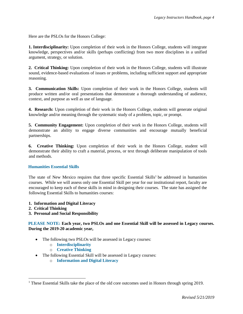Here are the PSLOs for the Honors College:

**1. Interdisciplinarity:** Upon completion of their work in the Honors College, students will integrate knowledge, perspectives and/or skills (perhaps conflicting) from two more disciplines in a unified argument, strategy, or solution.

**2. Critical Thinking:** Upon completion of their work in the Honors College, students will illustrate sound, evidence-based evaluations of issues or problems, including sufficient support and appropriate reasoning.

**3. Communication Skills:** Upon completion of their work in the Honors College, students will produce written and/or oral presentations that demonstrate a thorough understanding of audience, context, and purpose as well as use of language.

**4. Research:** Upon completion of their work in the Honors College, students will generate original knowledge and/or meaning through the systematic study of a problem, topic, or prompt.

**5. Community Engagement:** Upon completion of their work in the Honors College, students will demonstrate an ability to engage diverse communities and encourage mutually beneficial partnerships.

**6. Creative Thinking:** Upon completion of their work in the Honors College, student will demonstrate their ability to craft a material, process, or text through deliberate manipulation of tools and methods.

## **Humanities Essential Skills**

The state of New Mexico requires that three specific Essential Skills<sup>1</sup> be addressed in humanities courses. While we will assess only one Essential Skill per year for our institutional report, faculty are encouraged to keep each of these skills in mind in designing their courses. The state has assigned the following Essential Skills to humanities courses:

- **1. Information and Digital Literacy**
- **2. Critical Thinking**

 $\overline{a}$ 

**3. Personal and Social Responsibility**

**PLEASE NOTE: Each year, two PSLOs and one Essential Skill will be assessed in Legacy courses. During the 2019-20 academic year,**

- The following two PSLOs will be assessed in Legacy courses:
	- o **Interdisciplinarity**
	- o **Creative Thinking**
- The following Essential Skill will be assessed in Legacy courses:
	- o **Information and Digital Literacy**

<sup>&</sup>lt;sup>1</sup> These Essential Skills take the place of the old core outcomes used in Honors through spring 2019.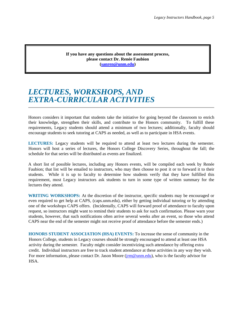**If you have any questions about the assessment process, please contact Dr. Renée Faubion [\(sanren@unm.edu\)](mailto:sanren@unm.edu)**

## *LECTURES, WORKSHOPS, AND EXTRA-CURRICULAR ACTIVITIES*

Honors considers it important that students take the initiative for going beyond the classroom to enrich their knowledge, strengthen their skills, and contribute to the Honors community. To fulfill these requirements, Legacy students should attend a minimum of two lectures; additionally, faculty should encourage students to seek tutoring at CAPS as needed, as well as to participate in HSA events.

**LECTURES:** Legacy students will be required to attend at least two lectures during the semester. Honors will host a series of lectures, the Honors College Discovery Series, throughout the fall; the schedule for that series will be distributed as events are finalized.

A short list of possible lectures, including any Honors events, will be compiled each week by Renée Faubion; that list will be emailed to instructors, who may then choose to post it or to forward it to their students. While it is up to faculty to determine how students verify that they have fulfilled this requirement, most Legacy instructors ask students to turn in some type of written summary for the lectures they attend.

**WRITING WORKSHOPS:** At the discretion of the instructor, specific students may be encouraged or even required to get help at CAPS, (caps.unm.edu), either by getting individual tutoring or by attending one of the workshops CAPS offers. (Incidentally, CAPS will forward proof of attendance to faculty upon request, so instructors might want to remind their students to ask for such confirmation. Please warn your students, however, that such notifications often arrive several weeks after an event, so those who attend CAPS near the end of the semester might not receive proof of attendance before the semester ends.)

**HONORS STUDENT ASSOCIATION (HSA) EVENTS:** To increase the sense of community in the Honors College, students in Legacy courses should be strongly encouraged to attend at least one HSA activity during the semester. Faculty might consider incentivizing such attendance by offering extra credit. Individual instructors are free to track student attendance at these activities in any way they wish. For more information, please contact Dr. Jason Moore ( $\lim_{m \to \infty}$ unm.edu), who is the faculty advisor for HSA.